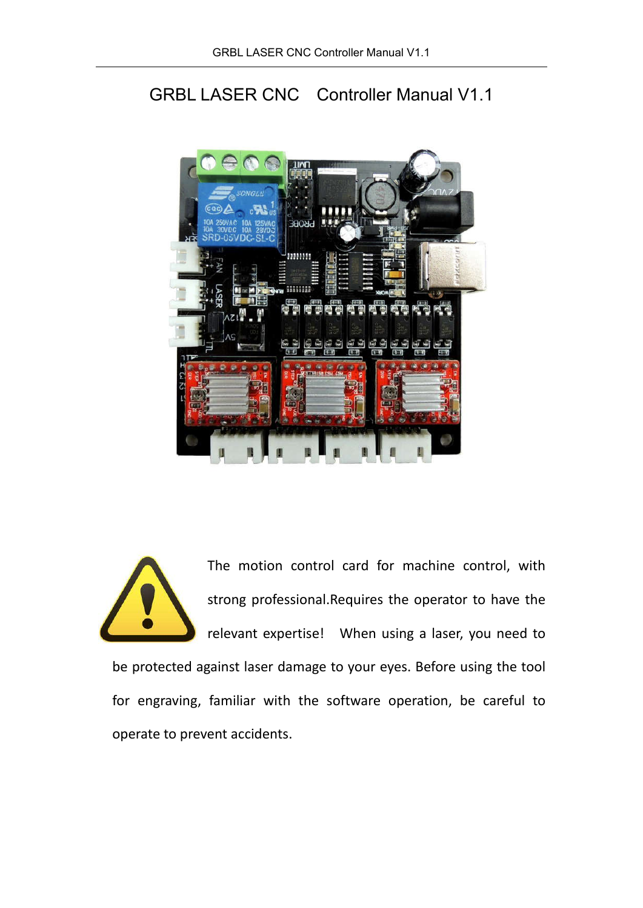# GRBL LASER CNC Controller Manual V1.1



The motion control card for machine control, with strong professional.Requires the operator to have the relevant expertise! When using a laser, you need to

be protected against laser damage to your eyes. Before using the tool for engraving, familiar with the software operation, be careful to operate to prevent accidents.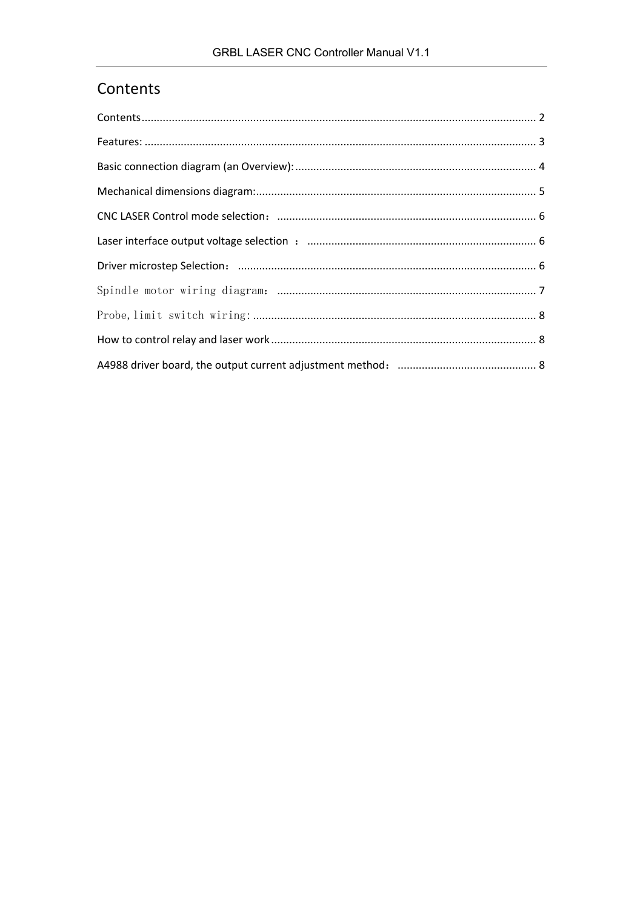## Contents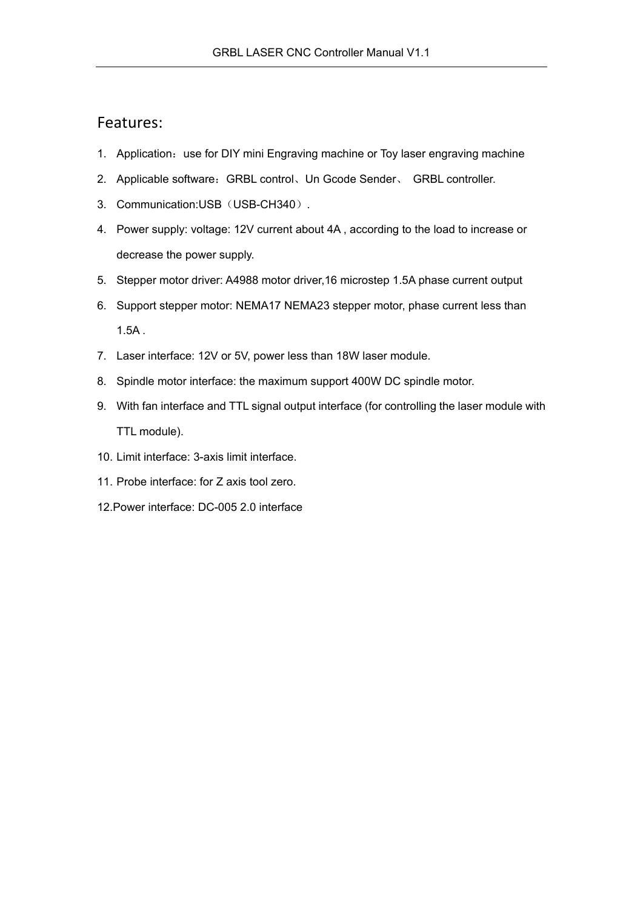#### Features:

- 1. Application: use for DIY mini Engraving machine or Toy laser engraving machine
- 2. Applicable software: GRBL control、Un Gcode Sender、 GRBL controller.
- 3. Communication:USB(USB-CH340).
- 4. Power supply: voltage: 12V current about 4A , according to the load to increase or decrease the power supply.
- 5. Stepper motor driver: A4988 motor driver,16 microstep 1.5A phase current output
- 6. Support stepper motor: NEMA17 NEMA23 stepper motor, phase current less than 1.5A .
- 7. Laser interface: 12V or 5V, power less than 18W laser module.
- 8. Spindle motor interface: the maximum support 400W DC spindle motor.
- 9. With fan interface and TTL signal output interface (for controlling the laser module with TTL module).
- 10. Limit interface: 3-axis limit interface.
- 11. Probe interface: for Z axis tool zero.
- 12.Power interface: DC-005 2.0 interface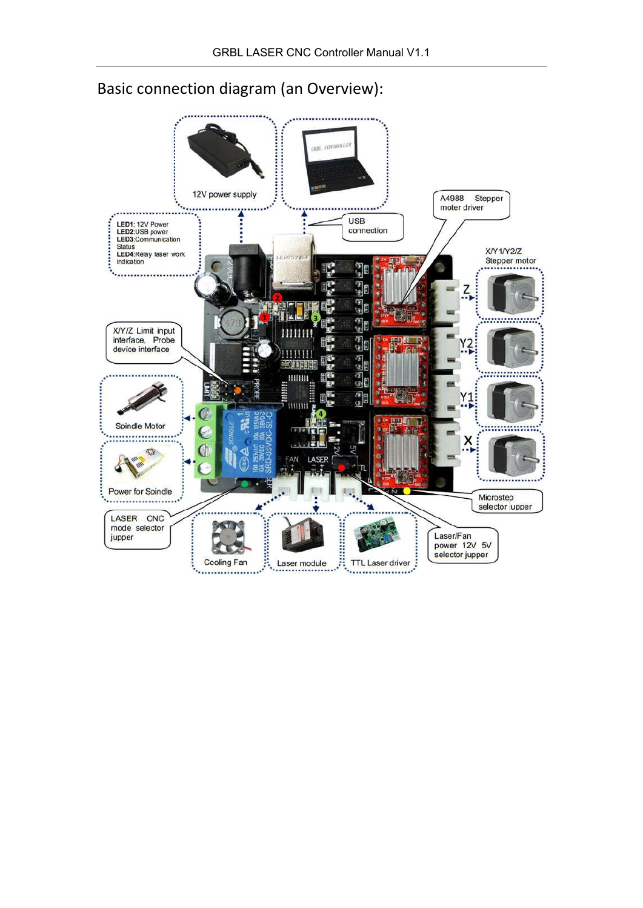

## Basic connection diagram (an Overview):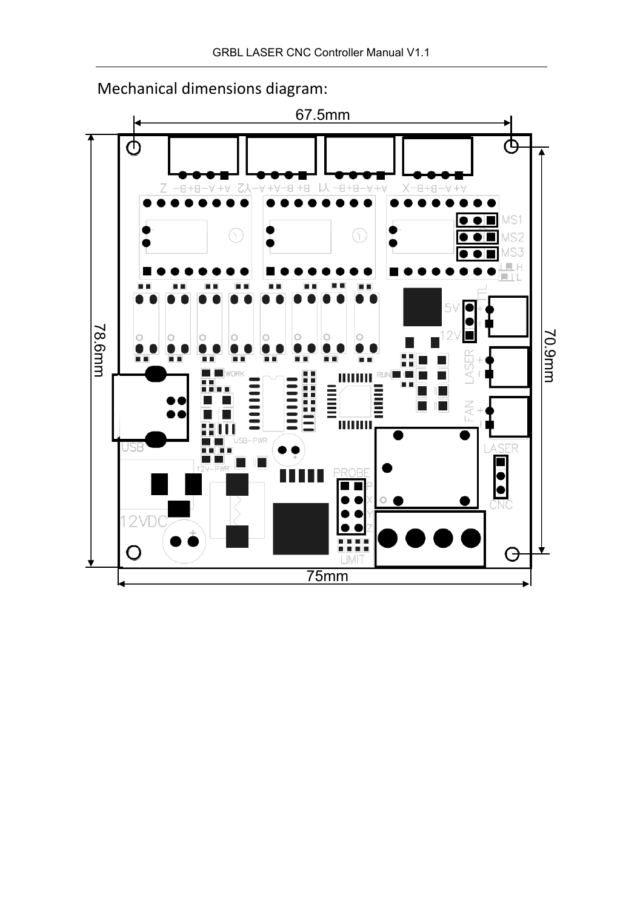

# Mechanical dimensions diagram: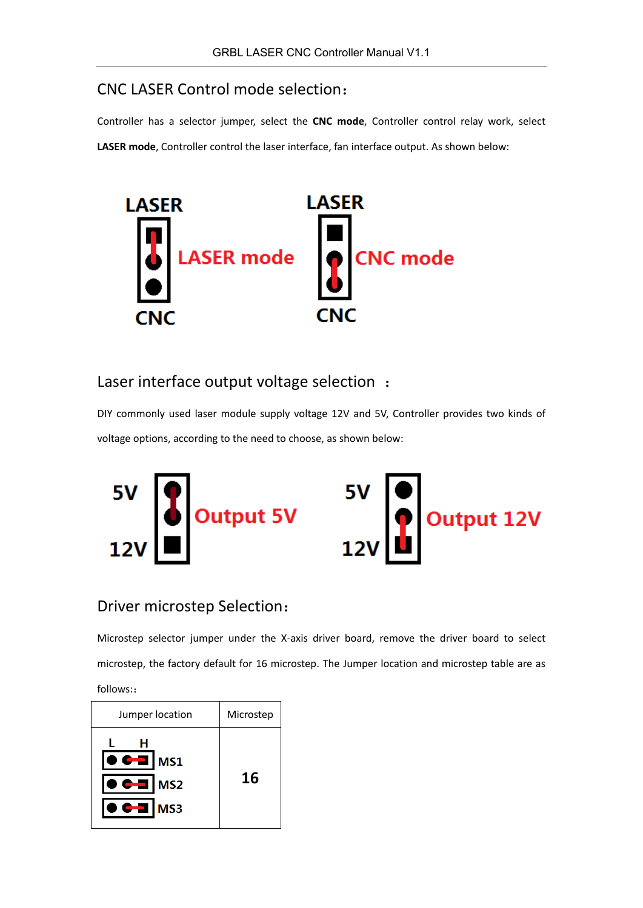#### CNC LASER Control mode selection:

Controller has a selector jumper, select the **CNC mode**, Controller control relay work, select **LASER mode**, Controller control the laser interface, fan interface output. As shown below:



### Laser interface output voltage selection :

DIY commonly used laser module supply voltage 12V and 5V, Controller provides two kinds of voltage options, according to the need to choose, as shown below:



#### Driver microstep Selection:

Microstep selector jumper under the X-axis driver board, remove the driver board to select microstep, the factory default for 16 microstep. The Jumper location and microstep table are as follows::

| Jumper location                                                                            | Microstep |
|--------------------------------------------------------------------------------------------|-----------|
| н<br>$\bullet$<br><b>MS1</b><br>$\bullet$ $\bullet$ al<br>MS <sub>2</sub><br>كالملة<br>MS3 | 16        |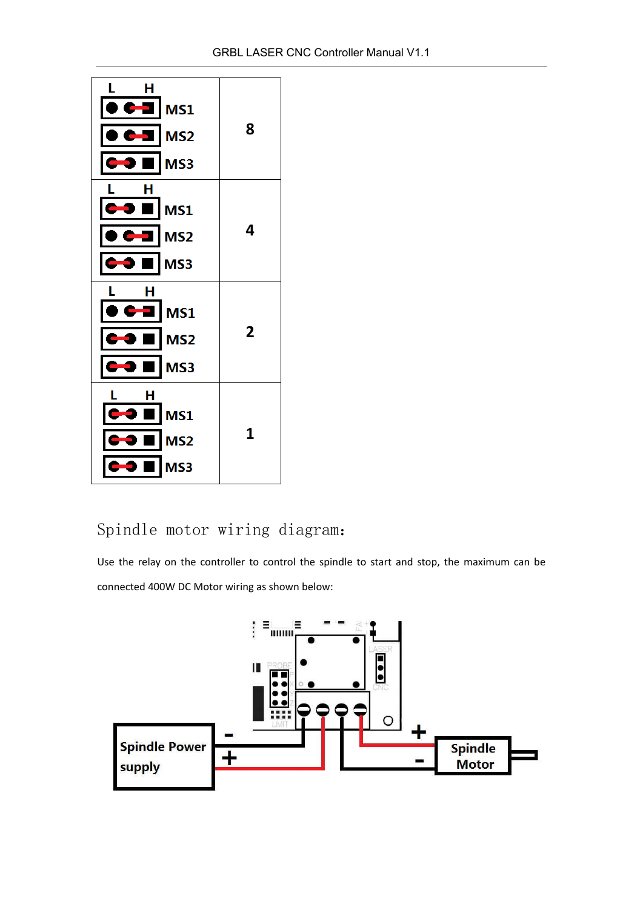

# Spindle motor wiring diagram:

Use the relay on the controller to control the spindle to start and stop, the maximum can be connected 400W DC Motor wiring as shown below:

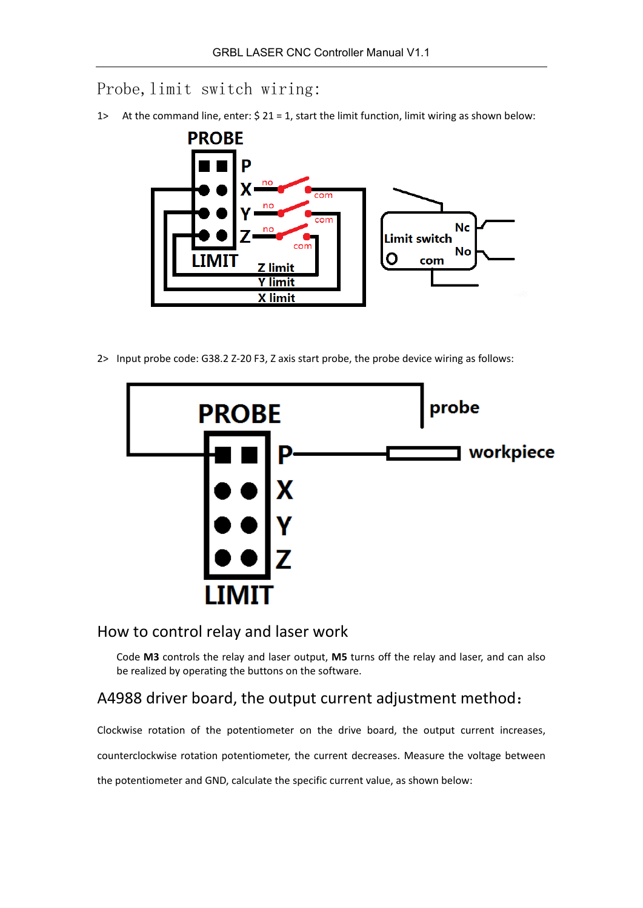Probe, limit switch wiring:

1> At the command line, enter: \$ 21 = 1, start the limit function, limit wiring as shown below:



2> Input probe code: G38.2 Z-20 F3, Z axis start probe, the probe device wiring as follows:



### How to control relay and laser work

Code **M3** controls the relay and laser output, **M5** turns off the relay and laser, and can also be realized by operating the buttons on the software.

### A4988 driver board, the output current adjustment method:

Clockwise rotation of the potentiometer on the drive board, the output current increases,

counterclockwise rotation potentiometer, the current decreases. Measure the voltage between

the potentiometer and GND, calculate the specific current value, as shown below: